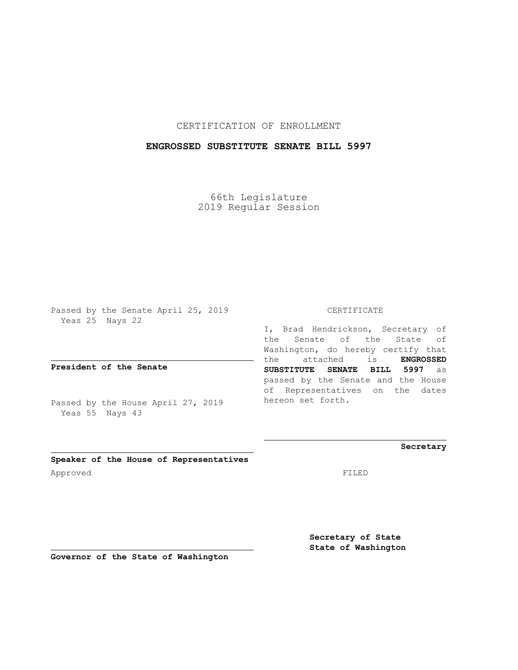CERTIFICATION OF ENROLLMENT

## **ENGROSSED SUBSTITUTE SENATE BILL 5997**

66th Legislature 2019 Regular Session

Passed by the Senate April 25, 2019 Yeas 25 Nays 22

**President of the Senate**

Passed by the House April 27, 2019 Yeas 55 Nays 43

#### CERTIFICATE

I, Brad Hendrickson, Secretary of the Senate of the State of Washington, do hereby certify that the attached is **ENGROSSED SUBSTITUTE SENATE BILL 5997** as passed by the Senate and the House of Representatives on the dates hereon set forth.

**Secretary**

**Speaker of the House of Representatives** Approved FILED

**Secretary of State State of Washington**

**Governor of the State of Washington**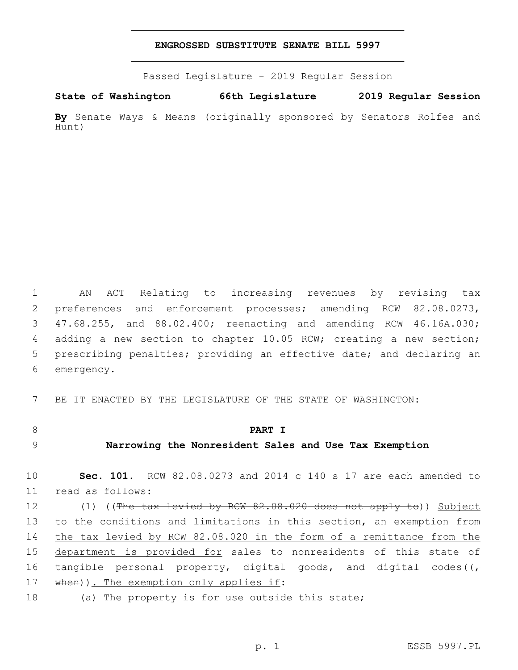#### **ENGROSSED SUBSTITUTE SENATE BILL 5997**

Passed Legislature - 2019 Regular Session

**State of Washington 66th Legislature 2019 Regular Session By** Senate Ways & Means (originally sponsored by Senators Rolfes and Hunt)

 AN ACT Relating to increasing revenues by revising tax preferences and enforcement processes; amending RCW 82.08.0273, 47.68.255, and 88.02.400; reenacting and amending RCW 46.16A.030; adding a new section to chapter 10.05 RCW; creating a new section; prescribing penalties; providing an effective date; and declaring an 6 emergency.

7 BE IT ENACTED BY THE LEGISLATURE OF THE STATE OF WASHINGTON:

- 8 **PART I**
- 

### 9 **Narrowing the Nonresident Sales and Use Tax Exemption**

10 **Sec. 101.** RCW 82.08.0273 and 2014 c 140 s 17 are each amended to read as follows:11

12 (1) ((The tax levied by RCW 82.08.020 does not apply to)) Subject 13 to the conditions and limitations in this section, an exemption from 14 the tax levied by RCW 82.08.020 in the form of a remittance from the 15 department is provided for sales to nonresidents of this state of 16 tangible personal property, digital goods, and digital codes( $(\tau)$ 17 when)). The exemption only applies if:

18 (a) The property is for use outside this state;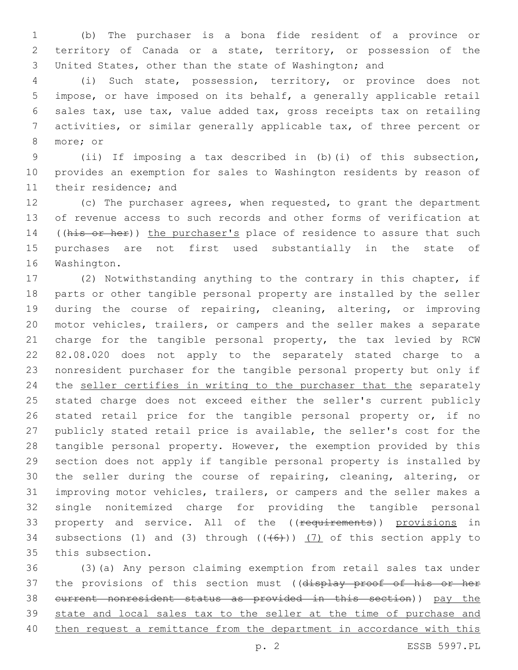(b) The purchaser is a bona fide resident of a province or territory of Canada or a state, territory, or possession of the United States, other than the state of Washington; and

 (i) Such state, possession, territory, or province does not impose, or have imposed on its behalf, a generally applicable retail sales tax, use tax, value added tax, gross receipts tax on retailing activities, or similar generally applicable tax, of three percent or 8 more; or

 (ii) If imposing a tax described in (b)(i) of this subsection, provides an exemption for sales to Washington residents by reason of 11 their residence; and

 (c) The purchaser agrees, when requested, to grant the department of revenue access to such records and other forms of verification at 14 ((his or her)) the purchaser's place of residence to assure that such purchases are not first used substantially in the state of 16 Washington.

 (2) Notwithstanding anything to the contrary in this chapter, if parts or other tangible personal property are installed by the seller during the course of repairing, cleaning, altering, or improving motor vehicles, trailers, or campers and the seller makes a separate 21 charge for the tangible personal property, the tax levied by RCW 82.08.020 does not apply to the separately stated charge to a nonresident purchaser for the tangible personal property but only if 24 the seller certifies in writing to the purchaser that the separately stated charge does not exceed either the seller's current publicly 26 stated retail price for the tangible personal property or, if no publicly stated retail price is available, the seller's cost for the tangible personal property. However, the exemption provided by this section does not apply if tangible personal property is installed by the seller during the course of repairing, cleaning, altering, or improving motor vehicles, trailers, or campers and the seller makes a single nonitemized charge for providing the tangible personal 33 property and service. All of the ((requirements)) provisions in 34 subsections (1) and (3) through  $((+6+))$  (7) of this section apply to 35 this subsection.

 (3)(a) Any person claiming exemption from retail sales tax under 37 the provisions of this section must ((display proof of his or her current nonresident status as provided in this section)) pay the state and local sales tax to the seller at the time of purchase and then request a remittance from the department in accordance with this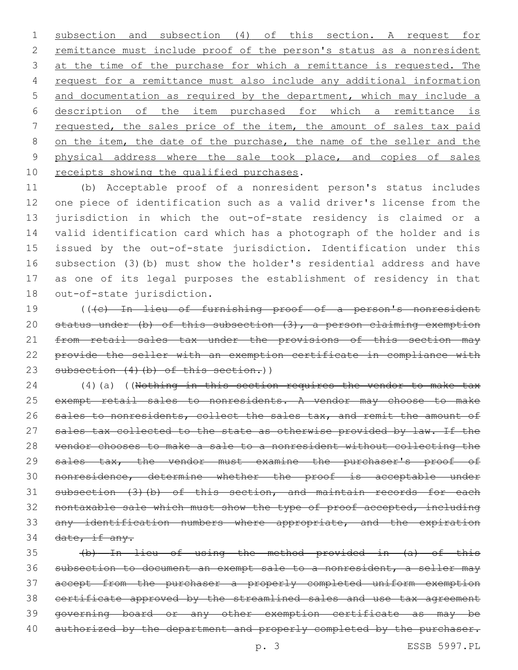1 subsection and subsection (4) of this section. A request for 2 remittance must include proof of the person's status as a nonresident 3 at the time of the purchase for which a remittance is requested. The 4 request for a remittance must also include any additional information 5 and documentation as required by the department, which may include a 6 description of the item purchased for which a remittance is 7 requested, the sales price of the item, the amount of sales tax paid 8 on the item, the date of the purchase, the name of the seller and the 9 physical address where the sale took place, and copies of sales 10 receipts showing the qualified purchases.

 (b) Acceptable proof of a nonresident person's status includes one piece of identification such as a valid driver's license from the jurisdiction in which the out-of-state residency is claimed or a valid identification card which has a photograph of the holder and is issued by the out-of-state jurisdiction. Identification under this subsection (3)(b) must show the holder's residential address and have as one of its legal purposes the establishment of residency in that 18 out-of-state jurisdiction.

19 (((c) In lieu of furnishing proof of a person's nonresident 20 status under (b) of this subsection (3), a person claiming exemption 21 from retail sales tax under the provisions of this section may 22 provide the seller with an exemption certificate in compliance with 23 subsection (4) (b) of this section.))

24 (4)(a) ((Nothing in this section requires the vendor to make tax 25 exempt retail sales to nonresidents. A vendor may choose to make 26 sales to nonresidents, collect the sales tax, and remit the amount of 27 sales tax collected to the state as otherwise provided by law. If the 28 vendor chooses to make a sale to a nonresident without collecting the 29 sales tax, the vendor must examine the purchaser's proof of 30 nonresidence, determine whether the proof is acceptable under 31 subsection (3)(b) of this section, and maintain records for each 32 nontaxable sale which must show the type of proof accepted, including 33 any identification numbers where appropriate, and the expiration  $34$  date, if any.

 (b) In lieu of using the method provided in (a) of this subsection to document an exempt sale to a nonresident, a seller may accept from the purchaser a properly completed uniform exemption certificate approved by the streamlined sales and use tax agreement governing board or any other exemption certificate as may be 40 authorized by the department and properly completed by the purchaser.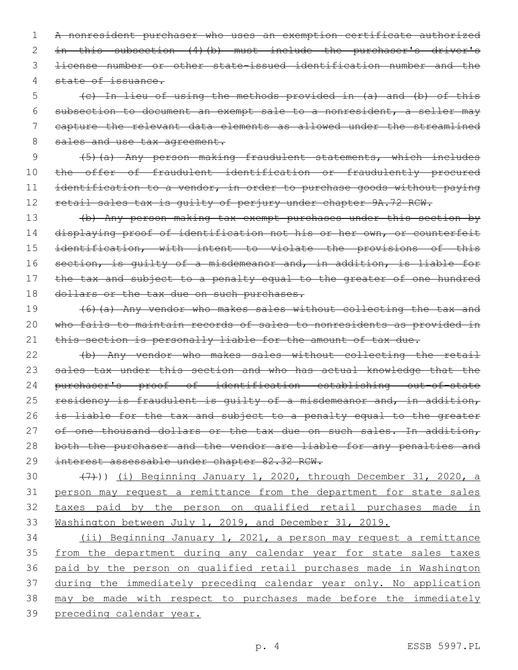1 A nonresident purchaser who uses an exemption certificate authorized 2 in this subsection (4)(b) must include the purchaser's driver's 3 license number or other state-issued identification number and the 4 state of issuance.

 (c) In lieu of using the methods provided in (a) and (b) of this subsection to document an exempt sale to a nonresident, a seller may capture the relevant data elements as allowed under the streamlined 8 sales and use tax agreement.

9 (5)(a) Any person making fraudulent statements, which includes 10 the offer of fraudulent identification or fraudulently procured 11 identification to a vendor, in order to purchase goods without paying 12 retail sales tax is quilty of perjury under chapter 9A.72 RCW.

13 (b) Any person making tax exempt purchases under this section by 14 displaying proof of identification not his or her own, or counterfeit 15 identification, with intent to violate the provisions of this 16 section, is quilty of a misdemeanor and, in addition, is liable for 17 the tax and subject to a penalty equal to the greater of one hundred 18 dollars or the tax due on such purchases.

19 (6)(a) Any vendor who makes sales without collecting the tax and 20 who fails to maintain records of sales to nonresidents as provided in 21 this section is personally liable for the amount of tax due.

22 (b) Any vendor who makes sales without collecting the retail 23 sales tax under this section and who has actual knowledge that the 24 purchaser's proof of identification establishing out-of-state 25 residency is fraudulent is guilty of a misdemeanor and, in addition, 26 is liable for the tax and subject to a penalty equal to the greater 27 of one thousand dollars or the tax due on such sales. In addition, 28 both the purchaser and the vendor are liable for any penalties and 29 interest assessable under chapter 82.32 RCW.

30 (7))) (i) Beginning January 1, 2020, through December 31, 2020, a person may request a remittance from the department for state sales taxes paid by the person on qualified retail purchases made in Washington between July 1, 2019, and December 31, 2019.

 (ii) Beginning January 1, 2021, a person may request a remittance 35 from the department during any calendar year for state sales taxes paid by the person on qualified retail purchases made in Washington during the immediately preceding calendar year only. No application may be made with respect to purchases made before the immediately preceding calendar year.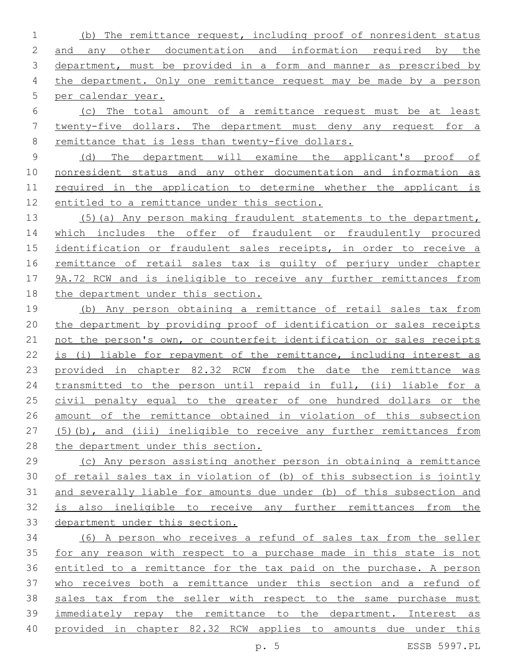(b) The remittance request, including proof of nonresident status and any other documentation and information required by the 3 department, must be provided in a form and manner as prescribed by the department. Only one remittance request may be made by a person per calendar year.

 (c) The total amount of a remittance request must be at least twenty-five dollars. The department must deny any request for a remittance that is less than twenty-five dollars.

 (d) The department will examine the applicant's proof of nonresident status and any other documentation and information as required in the application to determine whether the applicant is entitled to a remittance under this section.

 (5)(a) Any person making fraudulent statements to the department, 14 which includes the offer of fraudulent or fraudulently procured identification or fraudulent sales receipts, in order to receive a remittance of retail sales tax is guilty of perjury under chapter 9A.72 RCW and is ineligible to receive any further remittances from the department under this section.

 (b) Any person obtaining a remittance of retail sales tax from the department by providing proof of identification or sales receipts not the person's own, or counterfeit identification or sales receipts is (i) liable for repayment of the remittance, including interest as provided in chapter 82.32 RCW from the date the remittance was transmitted to the person until repaid in full, (ii) liable for a 25 civil penalty equal to the greater of one hundred dollars or the amount of the remittance obtained in violation of this subsection (5)(b), and (iii) ineligible to receive any further remittances from the department under this section.

 (c) Any person assisting another person in obtaining a remittance of retail sales tax in violation of (b) of this subsection is jointly and severally liable for amounts due under (b) of this subsection and is also ineligible to receive any further remittances from the department under this section.

 (6) A person who receives a refund of sales tax from the seller for any reason with respect to a purchase made in this state is not entitled to a remittance for the tax paid on the purchase. A person who receives both a remittance under this section and a refund of sales tax from the seller with respect to the same purchase must immediately repay the remittance to the department. Interest as provided in chapter 82.32 RCW applies to amounts due under this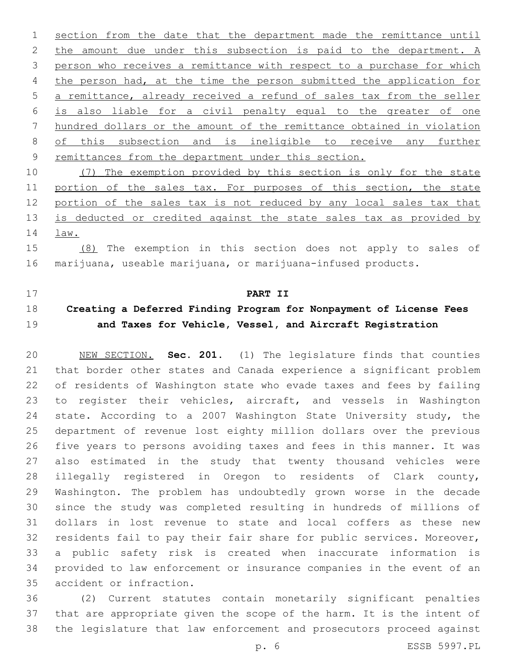section from the date that the department made the remittance until 2 the amount due under this subsection is paid to the department. A person who receives a remittance with respect to a purchase for which 4 the person had, at the time the person submitted the application for a remittance, already received a refund of sales tax from the seller is also liable for a civil penalty equal to the greater of one hundred dollars or the amount of the remittance obtained in violation of this subsection and is ineligible to receive any further remittances from the department under this section.

 (7) The exemption provided by this section is only for the state 11 portion of the sales tax. For purposes of this section, the state 12 portion of the sales tax is not reduced by any local sales tax that 13 is deducted or credited against the state sales tax as provided by law.

 (8) The exemption in this section does not apply to sales of marijuana, useable marijuana, or marijuana-infused products.

## **PART II**

# **Creating a Deferred Finding Program for Nonpayment of License Fees and Taxes for Vehicle, Vessel, and Aircraft Registration**

 NEW SECTION. **Sec. 201.** (1) The legislature finds that counties that border other states and Canada experience a significant problem of residents of Washington state who evade taxes and fees by failing 23 to register their vehicles, aircraft, and vessels in Washington state. According to a 2007 Washington State University study, the department of revenue lost eighty million dollars over the previous five years to persons avoiding taxes and fees in this manner. It was also estimated in the study that twenty thousand vehicles were illegally registered in Oregon to residents of Clark county, Washington. The problem has undoubtedly grown worse in the decade since the study was completed resulting in hundreds of millions of dollars in lost revenue to state and local coffers as these new residents fail to pay their fair share for public services. Moreover, a public safety risk is created when inaccurate information is provided to law enforcement or insurance companies in the event of an accident or infraction.

 (2) Current statutes contain monetarily significant penalties that are appropriate given the scope of the harm. It is the intent of the legislature that law enforcement and prosecutors proceed against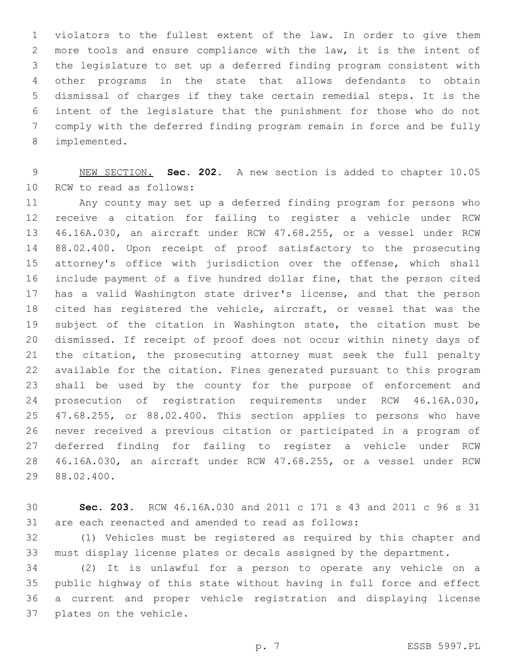violators to the fullest extent of the law. In order to give them more tools and ensure compliance with the law, it is the intent of the legislature to set up a deferred finding program consistent with other programs in the state that allows defendants to obtain dismissal of charges if they take certain remedial steps. It is the intent of the legislature that the punishment for those who do not comply with the deferred finding program remain in force and be fully 8 implemented.

 NEW SECTION. **Sec. 202.** A new section is added to chapter 10.05 10 RCW to read as follows:

 Any county may set up a deferred finding program for persons who receive a citation for failing to register a vehicle under RCW 46.16A.030, an aircraft under RCW 47.68.255, or a vessel under RCW 88.02.400. Upon receipt of proof satisfactory to the prosecuting attorney's office with jurisdiction over the offense, which shall include payment of a five hundred dollar fine, that the person cited has a valid Washington state driver's license, and that the person cited has registered the vehicle, aircraft, or vessel that was the subject of the citation in Washington state, the citation must be dismissed. If receipt of proof does not occur within ninety days of the citation, the prosecuting attorney must seek the full penalty available for the citation. Fines generated pursuant to this program shall be used by the county for the purpose of enforcement and prosecution of registration requirements under RCW 46.16A.030, 47.68.255, or 88.02.400. This section applies to persons who have never received a previous citation or participated in a program of deferred finding for failing to register a vehicle under RCW 46.16A.030, an aircraft under RCW 47.68.255, or a vessel under RCW 29 88.02.400.

 **Sec. 203.** RCW 46.16A.030 and 2011 c 171 s 43 and 2011 c 96 s 31 are each reenacted and amended to read as follows:

 (1) Vehicles must be registered as required by this chapter and must display license plates or decals assigned by the department.

 (2) It is unlawful for a person to operate any vehicle on a public highway of this state without having in full force and effect a current and proper vehicle registration and displaying license 37 plates on the vehicle.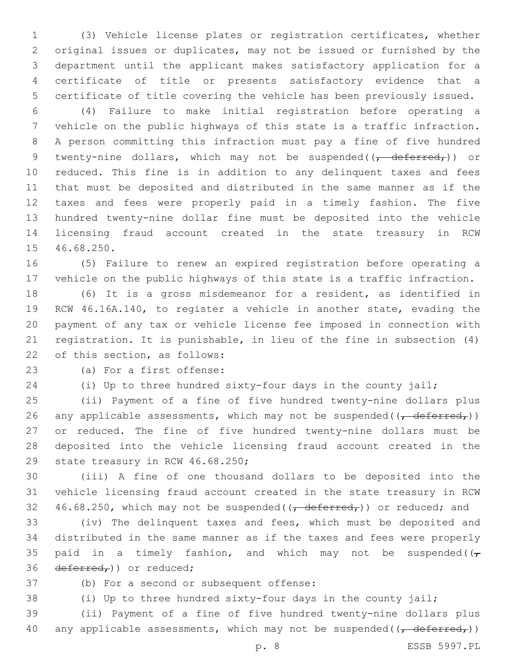(3) Vehicle license plates or registration certificates, whether original issues or duplicates, may not be issued or furnished by the department until the applicant makes satisfactory application for a certificate of title or presents satisfactory evidence that a certificate of title covering the vehicle has been previously issued.

 (4) Failure to make initial registration before operating a vehicle on the public highways of this state is a traffic infraction. A person committing this infraction must pay a fine of five hundred 9 twenty-nine dollars, which may not be suspended( $\frac{1}{1-\text{deferred}}$ )) or reduced. This fine is in addition to any delinquent taxes and fees that must be deposited and distributed in the same manner as if the taxes and fees were properly paid in a timely fashion. The five hundred twenty-nine dollar fine must be deposited into the vehicle licensing fraud account created in the state treasury in RCW 15 46.68.250.

 (5) Failure to renew an expired registration before operating a vehicle on the public highways of this state is a traffic infraction.

 (6) It is a gross misdemeanor for a resident, as identified in RCW 46.16A.140, to register a vehicle in another state, evading the payment of any tax or vehicle license fee imposed in connection with registration. It is punishable, in lieu of the fine in subsection (4) 22 of this section, as follows:

23 (a) For a first offense:

(i) Up to three hundred sixty-four days in the county jail;

 (ii) Payment of a fine of five hundred twenty-nine dollars plus 26 any applicable assessments, which may not be suspended( $\frac{1}{1}$  deferred,)) or reduced. The fine of five hundred twenty-nine dollars must be deposited into the vehicle licensing fraud account created in the 29 state treasury in RCW 46.68.250;

 (iii) A fine of one thousand dollars to be deposited into the vehicle licensing fraud account created in the state treasury in RCW 32 46.68.250, which may not be suspended( $\left(\frac{\text{deferred}}{\text{ermed}}\right)$ ) or reduced; and

 (iv) The delinquent taxes and fees, which must be deposited and distributed in the same manner as if the taxes and fees were properly 35 paid in a timely fashion, and which may not be suspended( $(\tau)$ 36 deferred,) or reduced;

37 (b) For a second or subsequent offense:

(i) Up to three hundred sixty-four days in the county jail;

 (ii) Payment of a fine of five hundred twenty-nine dollars plus 40 any applicable assessments, which may not be suspended( $\overline{(-deferred_r)}$ )

p. 8 ESSB 5997.PL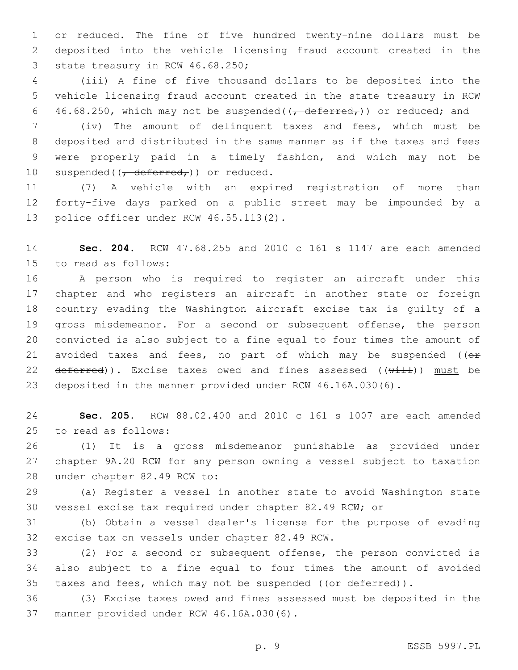or reduced. The fine of five hundred twenty-nine dollars must be deposited into the vehicle licensing fraud account created in the 3 state treasury in RCW 46.68.250;

 (iii) A fine of five thousand dollars to be deposited into the vehicle licensing fraud account created in the state treasury in RCW 6 46.68.250, which may not be suspended( $\left(\frac{\text{deferred}}{\text{ermed}}\right)$ ) or reduced; and

 (iv) The amount of delinquent taxes and fees, which must be deposited and distributed in the same manner as if the taxes and fees were properly paid in a timely fashion, and which may not be 10 suspended( $\frac{10}{100}$  suspended( $\frac{100}{100}$  areduced.

 (7) A vehicle with an expired registration of more than forty-five days parked on a public street may be impounded by a 13 police officer under RCW 46.55.113(2).

 **Sec. 204.** RCW 47.68.255 and 2010 c 161 s 1147 are each amended 15 to read as follows:

 A person who is required to register an aircraft under this chapter and who registers an aircraft in another state or foreign country evading the Washington aircraft excise tax is guilty of a gross misdemeanor. For a second or subsequent offense, the person convicted is also subject to a fine equal to four times the amount of 21 avoided taxes and fees, no part of which may be suspended ( $(e<sup>F</sup>)$  $deferred)$ ). Excise taxes owed and fines assessed  $((with 1)$  must be deposited in the manner provided under RCW 46.16A.030(6).

 **Sec. 205.** RCW 88.02.400 and 2010 c 161 s 1007 are each amended 25 to read as follows:

 (1) It is a gross misdemeanor punishable as provided under chapter 9A.20 RCW for any person owning a vessel subject to taxation 28 under chapter 82.49 RCW to:

 (a) Register a vessel in another state to avoid Washington state vessel excise tax required under chapter 82.49 RCW; or

 (b) Obtain a vessel dealer's license for the purpose of evading 32 excise tax on vessels under chapter 82.49 RCW.

 (2) For a second or subsequent offense, the person convicted is also subject to a fine equal to four times the amount of avoided 35 taxes and fees, which may not be suspended ((or deferred)).

 (3) Excise taxes owed and fines assessed must be deposited in the 37 manner provided under RCW 46.16A.030(6).